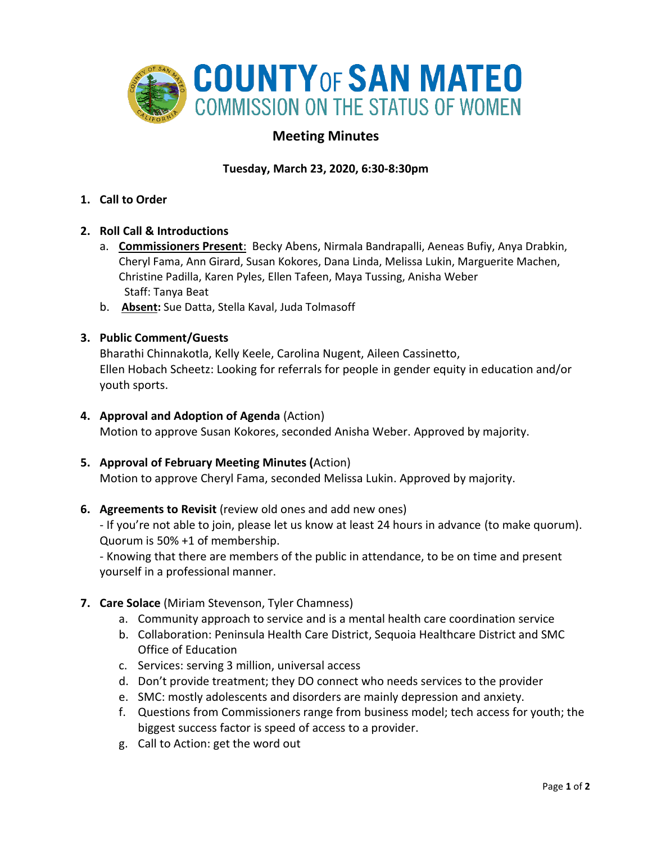

# **Meeting Minutes**

# **Tuesday, March 23, 2020, 6:30-8:30pm**

**1. Call to Order** 

#### **2. Roll Call & Introductions**

- a. **Commissioners Present**: Becky Abens, Nirmala Bandrapalli, Aeneas Bufiy, Anya Drabkin, Cheryl Fama, Ann Girard, Susan Kokores, Dana Linda, Melissa Lukin, Marguerite Machen, Christine Padilla, Karen Pyles, Ellen Tafeen, Maya Tussing, Anisha Weber Staff: Tanya Beat
- b. **Absent:** Sue Datta, Stella Kaval, Juda Tolmasoff

#### **3. Public Comment/Guests**

Bharathi Chinnakotla, Kelly Keele, Carolina Nugent, Aileen Cassinetto, Ellen Hobach Scheetz: Looking for referrals for people in gender equity in education and/or youth sports.

#### **4. Approval and Adoption of Agenda** (Action)

Motion to approve Susan Kokores, seconded Anisha Weber. Approved by majority.

#### **5. Approval of February Meeting Minutes (**Action)

Motion to approve Cheryl Fama, seconded Melissa Lukin. Approved by majority.

#### **6. Agreements to Revisit** (review old ones and add new ones)

- If you're not able to join, please let us know at least 24 hours in advance (to make quorum). Quorum is 50% +1 of membership.

- Knowing that there are members of the public in attendance, to be on time and present yourself in a professional manner.

### **7. Care Solace** (Miriam Stevenson, Tyler Chamness)

- a. Community approach to service and is a mental health care coordination service
- b. Collaboration: Peninsula Health Care District, Sequoia Healthcare District and SMC Office of Education
- c. Services: serving 3 million, universal access
- d. Don't provide treatment; they DO connect who needs services to the provider
- e. SMC: mostly adolescents and disorders are mainly depression and anxiety.
- f. Questions from Commissioners range from business model; tech access for youth; the biggest success factor is speed of access to a provider.
- g. Call to Action: get the word out